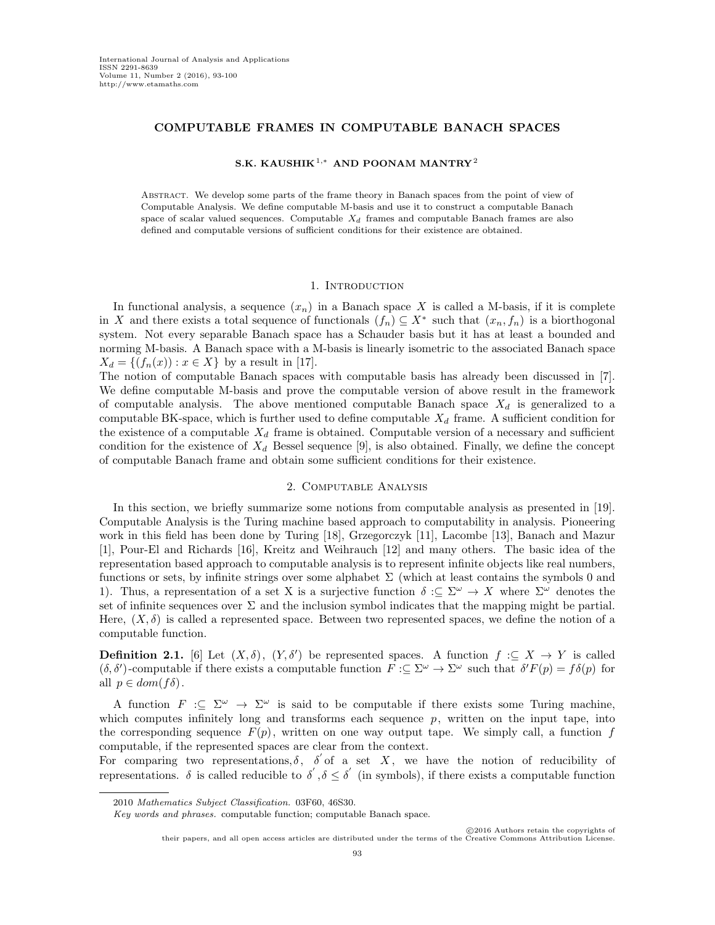# COMPUTABLE FRAMES IN COMPUTABLE BANACH SPACES

### S.K. KAUSHIK<sup>1,∗</sup> AND POONAM MANTRY<sup>2</sup>

ABSTRACT. We develop some parts of the frame theory in Banach spaces from the point of view of Computable Analysis. We define computable M-basis and use it to construct a computable Banach space of scalar valued sequences. Computable  $X_d$  frames and computable Banach frames are also defined and computable versions of sufficient conditions for their existence are obtained.

#### 1. INTRODUCTION

In functional analysis, a sequence  $(x_n)$  in a Banach space X is called a M-basis, if it is complete in X and there exists a total sequence of functionals  $(f_n) \subseteq X^*$  such that  $(x_n, f_n)$  is a biorthogonal system. Not every separable Banach space has a Schauder basis but it has at least a bounded and norming M-basis. A Banach space with a M-basis is linearly isometric to the associated Banach space  $X_d = \{(f_n(x)) : x \in X\}$  by a result in [17].

The notion of computable Banach spaces with computable basis has already been discussed in [7]. We define computable M-basis and prove the computable version of above result in the framework of computable analysis. The above mentioned computable Banach space  $X_d$  is generalized to a computable BK-space, which is further used to define computable  $X_d$  frame. A sufficient condition for the existence of a computable  $X_d$  frame is obtained. Computable version of a necessary and sufficient condition for the existence of  $X_d$  Bessel sequence [9], is also obtained. Finally, we define the concept of computable Banach frame and obtain some sufficient conditions for their existence.

## 2. Computable Analysis

In this section, we briefly summarize some notions from computable analysis as presented in [19]. Computable Analysis is the Turing machine based approach to computability in analysis. Pioneering work in this field has been done by Turing [18], Grzegorczyk [11], Lacombe [13], Banach and Mazur [1], Pour-El and Richards [16], Kreitz and Weihrauch [12] and many others. The basic idea of the representation based approach to computable analysis is to represent infinite objects like real numbers, functions or sets, by infinite strings over some alphabet  $\Sigma$  (which at least contains the symbols 0 and 1). Thus, a representation of a set X is a surjective function  $\delta := \Sigma^{\omega} \to X$  where  $\Sigma^{\omega}$  denotes the set of infinite sequences over  $\Sigma$  and the inclusion symbol indicates that the mapping might be partial. Here,  $(X, \delta)$  is called a represented space. Between two represented spaces, we define the notion of a computable function.

**Definition 2.1.** [6] Let  $(X, \delta)$ ,  $(Y, \delta')$  be represented spaces. A function  $f : \subseteq X \to Y$  is called  $(\delta, \delta')$ -computable if there exists a computable function  $F : \subseteq \Sigma^{\omega} \to \Sigma^{\omega}$  such that  $\delta' F(p) = f \delta(p)$  for all  $p \in dom(f\delta)$ .

A function  $F: \subseteq \Sigma^{\omega} \to \Sigma^{\omega}$  is said to be computable if there exists some Turing machine, which computes infinitely long and transforms each sequence  $p$ , written on the input tape, into the corresponding sequence  $F(p)$ , written on one way output tape. We simply call, a function f computable, if the represented spaces are clear from the context.

For comparing two representations,  $\delta$ ,  $\delta$  of a set X, we have the notion of reducibility of representations.  $\delta$  is called reducible to  $\delta', \delta \leq \delta'$  (in symbols), if there exists a computable function

<sup>2010</sup> Mathematics Subject Classification. 03F60, 46S30.

Key words and phrases. computable function; computable Banach space.

c 2016 Authors retain the copyrights of their papers, and all open access articles are distributed under the terms of the Creative Commons Attribution Licen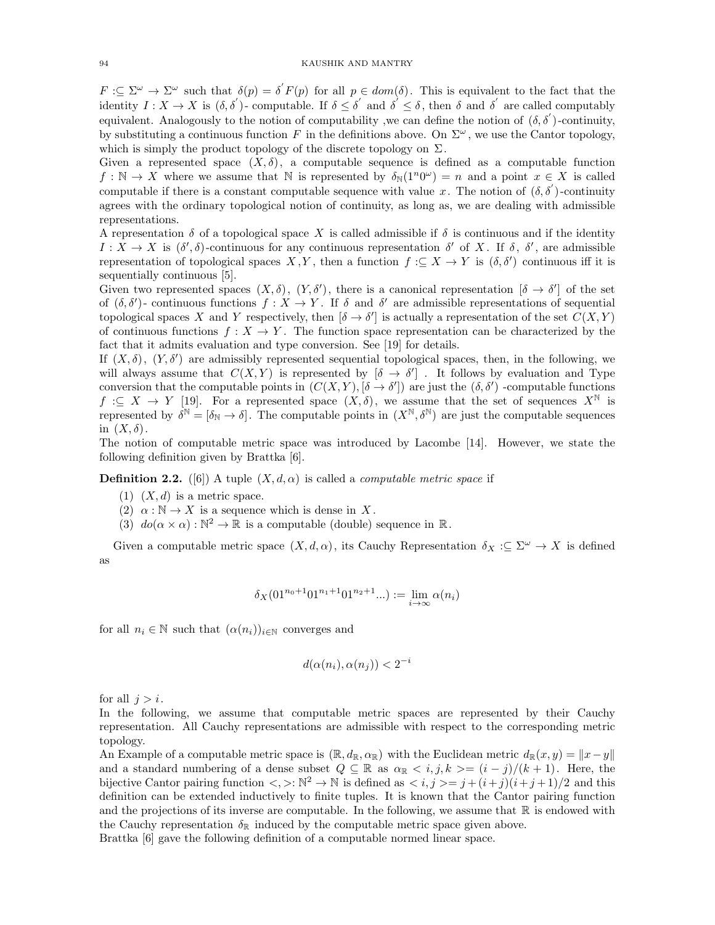$F: \subseteq \Sigma^{\omega} \to \Sigma^{\omega}$  such that  $\delta(p) = \delta F(p)$  for all  $p \in dom(\delta)$ . This is equivalent to the fact that the identity  $I: X \to X$  is  $(\delta, \delta')$ -computable. If  $\delta \leq \delta'$  and  $\delta' \leq \delta$ , then  $\delta$  and  $\delta'$  are called computably equivalent. Analogously to the notion of computability, we can define the notion of  $(\delta, \delta')$ -continuity, by substituting a continuous function F in the definitions above. On  $\Sigma^{\omega}$ , we use the Cantor topology, which is simply the product topology of the discrete topology on  $\Sigma$ .

Given a represented space  $(X, \delta)$ , a computable sequence is defined as a computable function  $f: \mathbb{N} \to X$  where we assume that N is represented by  $\delta_{\mathbb{N}}(1^n 0^\omega) = n$  and a point  $x \in X$  is called computable if there is a constant computable sequence with value x. The notion of  $(\delta, \delta)$ -continuity agrees with the ordinary topological notion of continuity, as long as, we are dealing with admissible representations.

A representation  $\delta$  of a topological space X is called admissible if  $\delta$  is continuous and if the identity  $I: X \to X$  is  $(\delta', \delta)$ -continuous for any continuous representation  $\delta'$  of X. If  $\delta$ ,  $\delta'$ , are admissible representation of topological spaces  $X, Y$ , then a function  $f: \subseteq X \to Y$  is  $(\delta, \delta')$  continuous iff it is sequentially continuous [5].

Given two represented spaces  $(X, \delta)$ ,  $(Y, \delta')$ , there is a canonical representation  $[\delta \to \delta']$  of the set of  $(\delta, \delta')$ - continuous functions  $f: X \to Y$ . If  $\delta$  and  $\delta'$  are admissible representations of sequential topological spaces X and Y respectively, then  $[\delta \to \delta']$  is actually a representation of the set  $C(X, Y)$ of continuous functions  $f: X \to Y$ . The function space representation can be characterized by the fact that it admits evaluation and type conversion. See [19] for details.

If  $(X, \delta)$ ,  $(Y, \delta')$  are admissibly represented sequential topological spaces, then, in the following, we will always assume that  $C(X, Y)$  is represented by  $\left[\delta \to \delta'\right]$ . It follows by evaluation and Type conversion that the computable points in  $(C(X, Y), [\delta \to \delta'])$  are just the  $(\delta, \delta')$  -computable functions  $f \text{ }\mathcal{F} \text{ }\mathcal{F} \text{ }\mathcal{F}$  [19]. For a represented space  $(X, \delta)$ , we assume that the set of sequences  $X^{\mathbb{N}}$  is represented by  $\delta^{\mathbb{N}} = [\delta_{\mathbb{N}} \to \delta]$ . The computable points in  $(X^{\mathbb{N}}, \delta^{\mathbb{N}})$  are just the computable sequences in  $(X, \delta)$ .

The notion of computable metric space was introduced by Lacombe [14]. However, we state the following definition given by Brattka [6].

**Definition 2.2.** ([6]) A tuple  $(X, d, \alpha)$  is called a *computable metric space* if

- $(1)$   $(X, d)$  is a metric space.
- (2)  $\alpha : \mathbb{N} \to X$  is a sequence which is dense in X.
- (3)  $do(\alpha \times \alpha): \mathbb{N}^2 \to \mathbb{R}$  is a computable (double) sequence in  $\mathbb{R}$ .

Given a computable metric space  $(X, d, \alpha)$ , its Cauchy Representation  $\delta_X : \subseteq \Sigma^\omega \to X$  is defined as

$$
\delta_X(01^{n_0+1}01^{n_1+1}01^{n_2+1}...):=\lim_{i\to\infty}\alpha(n_i)
$$

for all  $n_i \in \mathbb{N}$  such that  $(\alpha(n_i))_{i \in \mathbb{N}}$  converges and

$$
d(\alpha(n_i), \alpha(n_j)) < 2^{-i}
$$

for all  $j > i$ .

In the following, we assume that computable metric spaces are represented by their Cauchy representation. All Cauchy representations are admissible with respect to the corresponding metric topology.

An Example of a computable metric space is  $(\mathbb{R}, d_{\mathbb{R}}, \alpha_{\mathbb{R}})$  with the Euclidean metric  $d_{\mathbb{R}}(x, y) = ||x - y||$ and a standard numbering of a dense subset  $Q \subseteq \mathbb{R}$  as  $\alpha_{\mathbb{R}} \leq i, j, k \geq (i - j)/(k + 1)$ . Here, the bijective Cantor pairing function  $\langle , \rangle : \mathbb{N}^2 \to \mathbb{N}$  is defined as  $\langle i, j \rangle = j + (i+j)(i+j+1)/2$  and this definition can be extended inductively to finite tuples. It is known that the Cantor pairing function and the projections of its inverse are computable. In the following, we assume that  $\mathbb R$  is endowed with the Cauchy representation  $\delta_{\mathbb{R}}$  induced by the computable metric space given above. Brattka [6] gave the following definition of a computable normed linear space.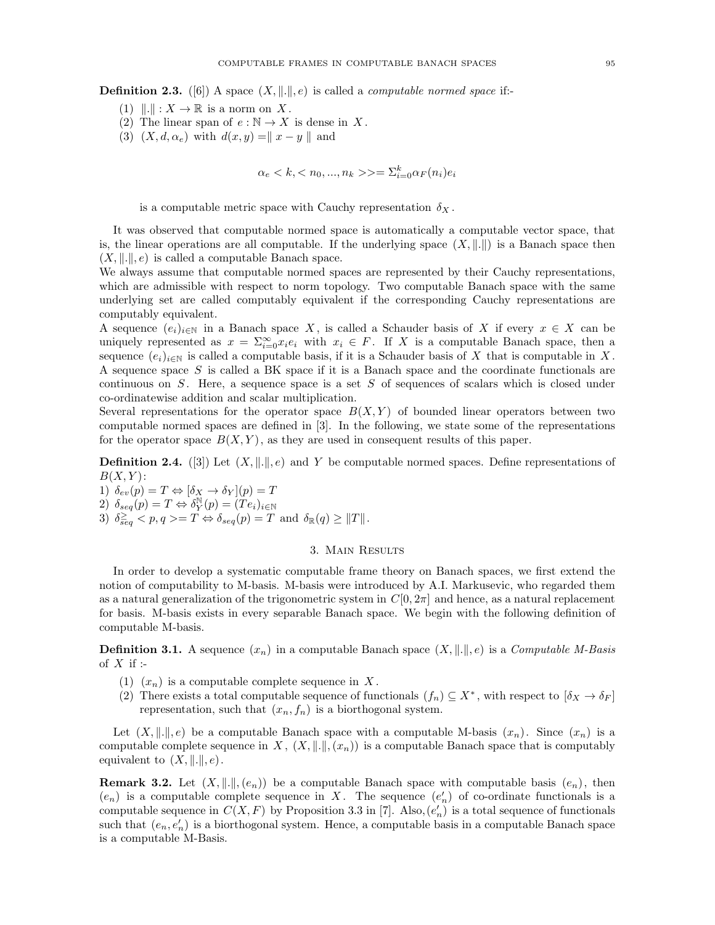**Definition 2.3.** ([6]) A space  $(X, \|.\|, e)$  is called a *computable normed space* if:-

- (1)  $\|\cdot\| : X \to \mathbb{R}$  is a norm on X.
- (2) The linear span of  $e : \mathbb{N} \to X$  is dense in X.
- (3)  $(X, d, \alpha_e)$  with  $d(x, y) = ||x y||$  and

$$
\alpha_e>=\Sigma_{i=0}^k\alpha_F(n_i)e_i
$$

is a computable metric space with Cauchy representation  $\delta_X$ .

It was observed that computable normed space is automatically a computable vector space, that is, the linear operations are all computable. If the underlying space  $(X, \|.\|)$  is a Banach space then  $(X, \|\. \|, e)$  is called a computable Banach space.

We always assume that computable normed spaces are represented by their Cauchy representations, which are admissible with respect to norm topology. Two computable Banach space with the same underlying set are called computably equivalent if the corresponding Cauchy representations are computably equivalent.

A sequence  $(e_i)_{i\in\mathbb{N}}$  in a Banach space X, is called a Schauder basis of X if every  $x \in X$  can be uniquely represented as  $x = \sum_{i=0}^{\infty} x_i e_i$  with  $x_i \in F$ . If X is a computable Banach space, then a sequence  $(e_i)_{i\in\mathbb{N}}$  is called a computable basis, if it is a Schauder basis of X that is computable in X. A sequence space  $S$  is called a BK space if it is a Banach space and the coordinate functionals are continuous on  $S$ . Here, a sequence space is a set  $S$  of sequences of scalars which is closed under co-ordinatewise addition and scalar multiplication.

Several representations for the operator space  $B(X, Y)$  of bounded linear operators between two computable normed spaces are defined in [3]. In the following, we state some of the representations for the operator space  $B(X, Y)$ , as they are used in consequent results of this paper.

**Definition 2.4.** ([3]) Let  $(X, \|.\|, e)$  and Y be computable normed spaces. Define representations of  $B(X, Y)$ :

1)  $\delta_{ev}(p) = T \Leftrightarrow [\delta_X \rightarrow \delta_Y](p) = T$ 2)  $\delta_{seq}(p) = T \Leftrightarrow \delta_Y^{\mathbb{N}}(p) = (Te_i)_{i \in \mathbb{N}}$ 

3)  $\delta_{seq}^{\geq} < p, q > T \Leftrightarrow \delta_{seq}(p) = T \text{ and } \delta_{\mathbb{R}}(q) \geq ||T||.$ 

### 3. Main Results

In order to develop a systematic computable frame theory on Banach spaces, we first extend the notion of computability to M-basis. M-basis were introduced by A.I. Markusevic, who regarded them as a natural generalization of the trigonometric system in  $C[0, 2\pi]$  and hence, as a natural replacement for basis. M-basis exists in every separable Banach space. We begin with the following definition of computable M-basis.

**Definition 3.1.** A sequence  $(x_n)$  in a computable Banach space  $(X, \|.\|, e)$  is a Computable M-Basis of  $X$  if :-

- (1)  $(x_n)$  is a computable complete sequence in X.
- (2) There exists a total computable sequence of functionals  $(f_n) \subseteq X^*$ , with respect to  $[\delta_X \to \delta_F]$ representation, such that  $(x_n, f_n)$  is a biorthogonal system.

Let  $(X, \|\cdot\|, \epsilon)$  be a computable Banach space with a computable M-basis  $(x_n)$ . Since  $(x_n)$  is a computable complete sequence in X,  $(X, \|\cdot\|, (x_n))$  is a computable Banach space that is computably equivalent to  $(X, \|.\|, e)$ .

**Remark 3.2.** Let  $(X, \|.\|, (e_n))$  be a computable Banach space with computable basis  $(e_n)$ , then  $(e_n)$  is a computable complete sequence in X. The sequence  $(e'_n)$  of co-ordinate functionals is a computable sequence in  $C(X, F)$  by Proposition 3.3 in [7]. Also,  $(e'_n)$  is a total sequence of functionals such that  $(e_n, e'_n)$  is a biorthogonal system. Hence, a computable basis in a computable Banach space is a computable M-Basis.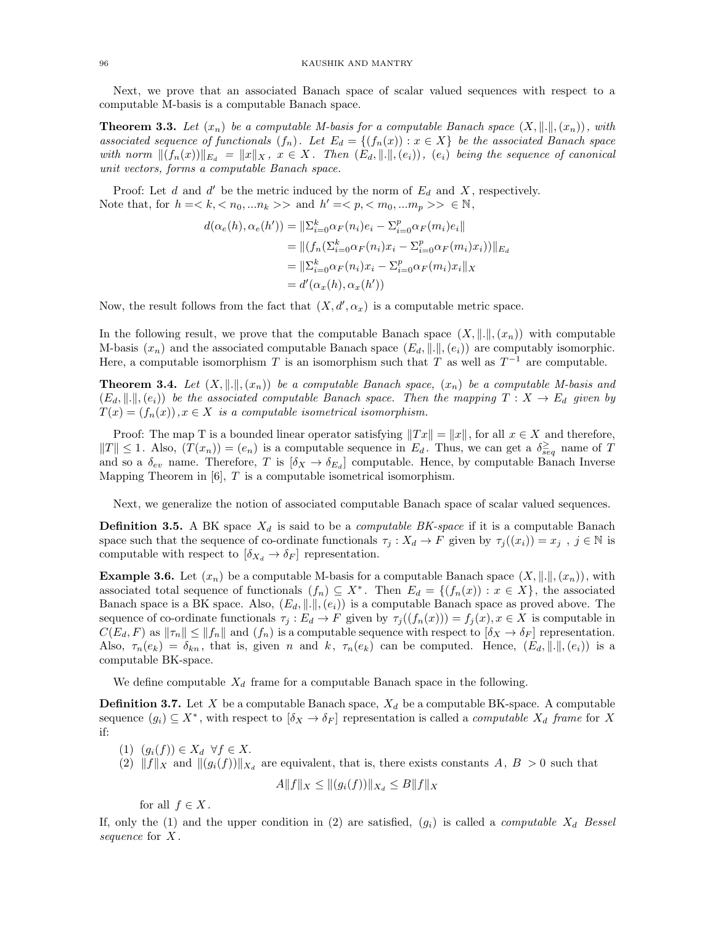Next, we prove that an associated Banach space of scalar valued sequences with respect to a computable M-basis is a computable Banach space.

**Theorem 3.3.** Let  $(x_n)$  be a computable M-basis for a computable Banach space  $(X, \|\cdot\|, (x_n))$ , with associated sequence of functionals  $(f_n)$ . Let  $E_d = \{(f_n(x)) : x \in X\}$  be the associated Banach space with norm  $||(f_n(x))||_{E_d} = ||x||_X$ ,  $x \in X$ . Then  $(E_d, ||.||, (e_i))$ ,  $(e_i)$  being the sequence of canonical unit vectors, forms a computable Banach space.

Proof: Let  $d$  and  $d'$  be the metric induced by the norm of  $E_d$  and  $X$ , respectively. Note that, for  $h = \langle k, \langle n_0, ... n_k \rangle$  and  $h' = \langle p, \langle m_0, ... m_p \rangle > \in \mathbb{N}$ ,

$$
d(\alpha_e(h), \alpha_e(h')) = \|\Sigma_{i=0}^k \alpha_F(n_i)e_i - \Sigma_{i=0}^p \alpha_F(m_i)e_i\|
$$
  
= 
$$
\|(f_n(\Sigma_{i=0}^k \alpha_F(n_i)x_i - \Sigma_{i=0}^p \alpha_F(m_i)x_i))\|_{E_d}
$$
  
= 
$$
\|\Sigma_{i=0}^k \alpha_F(n_i)x_i - \Sigma_{i=0}^p \alpha_F(m_i)x_i\|_X
$$
  
= 
$$
d'(\alpha_x(h), \alpha_x(h'))
$$

Now, the result follows from the fact that  $(X, d', \alpha_x)$  is a computable metric space.

In the following result, we prove that the computable Banach space  $(X, \|\cdot\|, (x_n))$  with computable M-basis  $(x_n)$  and the associated computable Banach space  $(E_d, \|\ldots\|, (e_i))$  are computably isomorphic. Here, a computable isomorphism T is an isomorphism such that T as well as  $T^{-1}$  are computable.

**Theorem 3.4.** Let  $(X, \|\cdot\|, (x_n))$  be a computable Banach space,  $(x_n)$  be a computable M-basis and  $(E_d, ||.||, (e_i))$  be the associated computable Banach space. Then the mapping  $T : X \to E_d$  given by  $T(x) = (f_n(x)), x \in X$  is a computable isometrical isomorphism.

Proof: The map T is a bounded linear operator satisfying  $||Tx|| = ||x||$ , for all  $x \in X$  and therefore,  $||T|| \leq 1$ . Also,  $(T(x_n)) = (e_n)$  is a computable sequence in  $E_d$ . Thus, we can get a  $\delta_{seq}^{\geq}$  name of T and so a  $\delta_{ev}$  name. Therefore, T is  $[\delta_X \to \delta_{E_d}]$  computable. Hence, by computable Banach Inverse Mapping Theorem in  $[6]$ , T is a computable isometrical isomorphism.

Next, we generalize the notion of associated computable Banach space of scalar valued sequences.

**Definition 3.5.** A BK space  $X_d$  is said to be a *computable BK-space* if it is a computable Banach space such that the sequence of co-ordinate functionals  $\tau_j : X_d \to F$  given by  $\tau_j((x_i)) = x_j$ ,  $j \in \mathbb{N}$  is computable with respect to  $[\delta_{X_d} \to \delta_F]$  representation.

**Example 3.6.** Let  $(x_n)$  be a computable M-basis for a computable Banach space  $(X, \|\cdot\|, (x_n))$ , with associated total sequence of functionals  $(f_n) \subseteq X^*$ . Then  $E_d = \{(f_n(x)) : x \in X\}$ , the associated Banach space is a BK space. Also,  $(E_d, \|.\|, (e_i))$  is a computable Banach space as proved above. The sequence of co-ordinate functionals  $\tau_j : E_d \to F$  given by  $\tau_j((f_n(x))) = f_j(x), x \in X$  is computable in  $C(E_d, F)$  as  $\|\tau_n\| \le \|f_n\|$  and  $(f_n)$  is a computable sequence with respect to  $[\delta_X \to \delta_F]$  representation. Also,  $\tau_n(e_k) = \delta_{kn}$ , that is, given n and k,  $\tau_n(e_k)$  can be computed. Hence,  $(E_d, \|\cdot\|, (e_i))$  is a computable BK-space.

We define computable  $X_d$  frame for a computable Banach space in the following.

**Definition 3.7.** Let X be a computable Banach space,  $X_d$  be a computable BK-space. A computable sequence  $(g_i) \subseteq X^*$ , with respect to  $[\delta_X \to \delta_F]$  representation is called a *computable*  $X_d$  frame for X if:

(1)  $(g_i(f)) \in X_d \ \forall f \in X$ .

(2)  $||f||_X$  and  $||g_i(f)||_{X_d}$  are equivalent, that is, there exists constants A,  $B > 0$  such that

$$
A||f||_X \le ||(g_i(f))||_{X_d} \le B||f||_X
$$

for all  $f \in X$ .

If, only the (1) and the upper condition in (2) are satisfied,  $(g_i)$  is called a *computable*  $X_d$  Bessel sequence for X.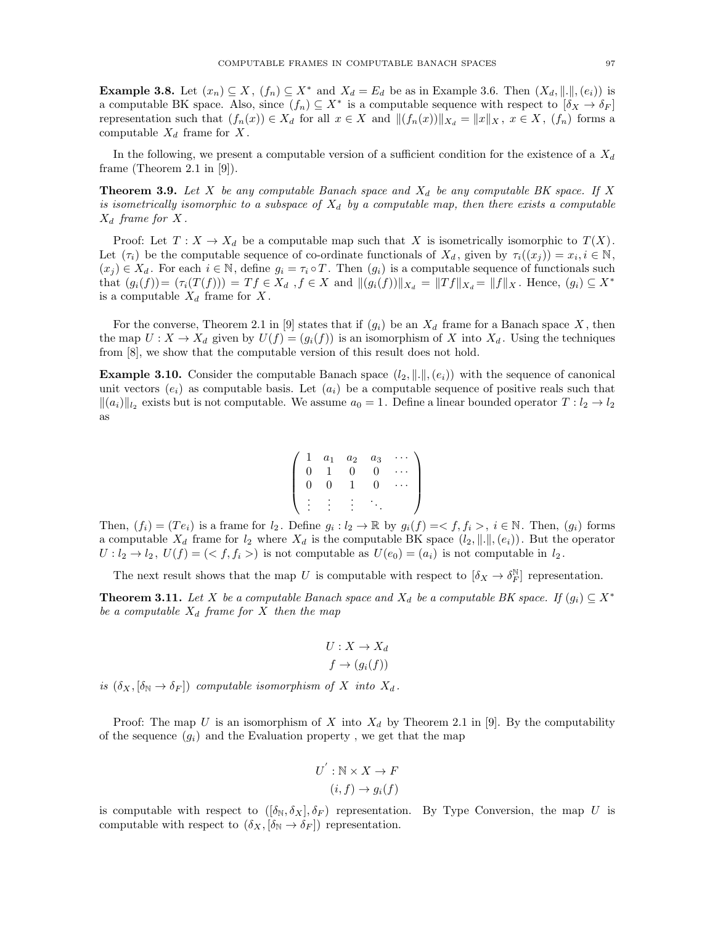**Example 3.8.** Let  $(x_n) \subseteq X$ ,  $(f_n) \subseteq X^*$  and  $X_d = E_d$  be as in Example 3.6. Then  $(X_d, \|\cdot\|, (e_i))$  is a computable BK space. Also, since  $(f_n) \subseteq X^*$  is a computable sequence with respect to  $[\delta_X \to \delta_F]$ representation such that  $(f_n(x)) \in X_d$  for all  $x \in X$  and  $|| (f_n(x)) ||_{X_d} = ||x||_X, x \in X$ ,  $(f_n)$  forms a computable  $X_d$  frame for X.

In the following, we present a computable version of a sufficient condition for the existence of a  $X_d$ frame (Theorem 2.1 in [9]).

**Theorem 3.9.** Let X be any computable Banach space and  $X_d$  be any computable BK space. If X is isometrically isomorphic to a subspace of  $X_d$  by a computable map, then there exists a computable  $X_d$  frame for X.

Proof: Let  $T : X \to X_d$  be a computable map such that X is isometrically isomorphic to  $T(X)$ . Let  $(\tau_i)$  be the computable sequence of co-ordinate functionals of  $X_d$ , given by  $\tau_i((x_j)) = x_i, i \in \mathbb{N}$ ,  $(x_j) \in X_d$ . For each  $i \in \mathbb{N}$ , define  $g_i = \tau_i \circ T$ . Then  $(g_i)$  is a computable sequence of functionals such that  $(g_i(f)) = (\tau_i(T(f))) = Tf \in X_d$ ,  $f \in X$  and  $||(g_i(f))||_{X_d} = ||Tf||_{X_d} = ||f||_X$ . Hence,  $(g_i) \subseteq X^*$ is a computable  $X_d$  frame for X.

For the converse, Theorem 2.1 in [9] states that if  $(g_i)$  be an  $X_d$  frame for a Banach space X, then the map  $U: X \to X_d$  given by  $U(f) = (g_i(f))$  is an isomorphism of X into  $X_d$ . Using the techniques from [8], we show that the computable version of this result does not hold.

**Example 3.10.** Consider the computable Banach space  $(l_2, \|\|, (e_i))$  with the sequence of canonical unit vectors  $(e_i)$  as computable basis. Let  $(a_i)$  be a computable sequence of positive reals such that  $\|(a_i)\|_{l_2}$  exists but is not computable. We assume  $a_0 = 1$ . Define a linear bounded operator  $T: l_2 \to l_2$ as

$$
\left(\begin{array}{cccccc}\n1 & a_1 & a_2 & a_3 & \cdots \\
0 & 1 & 0 & 0 & \cdots \\
0 & 0 & 1 & 0 & \cdots \\
\vdots & \vdots & \vdots & \ddots & \vdots\n\end{array}\right)
$$

Then,  $(f_i) = (Te_i)$  is a frame for  $l_2$ . Define  $g_i : l_2 \to \mathbb{R}$  by  $g_i(f) = \langle f, f_i \rangle$ ,  $i \in \mathbb{N}$ . Then,  $(g_i)$  forms a computable  $X_d$  frame for  $l_2$  where  $X_d$  is the computable BK space  $(l_2, \|\cdot\|, (e_i))$ . But the operator  $U: l_2 \to l_2$ ,  $U(f) = \langle f, f_i \rangle$  is not computable as  $U(e_0) = (a_i)$  is not computable in  $l_2$ .

The next result shows that the map U is computable with respect to  $[\delta_X \to \delta_F^N]$  representation.

**Theorem 3.11.** Let X be a computable Banach space and  $X_d$  be a computable BK space. If  $(g_i) \subseteq X^*$ be a computable  $X_d$  frame for X then the map

$$
U: X \to X_d
$$

$$
f \to (g_i(f))
$$

is  $(\delta_X, [\delta_{\mathbb{N}} \to \delta_F])$  computable isomorphism of X into  $X_d$ .

Proof: The map U is an isomorphism of X into  $X_d$  by Theorem 2.1 in [9]. By the computability of the sequence  $(g_i)$  and the Evaluation property, we get that the map

$$
U^{'} : \mathbb{N} \times X \to F
$$

$$
(i, f) \to g_i(f)
$$

is computable with respect to  $([\delta_N, \delta_X], \delta_F)$  representation. By Type Conversion, the map U is computable with respect to  $(\delta_X, [\delta_{\mathbb{N}} \to \delta_F])$  representation.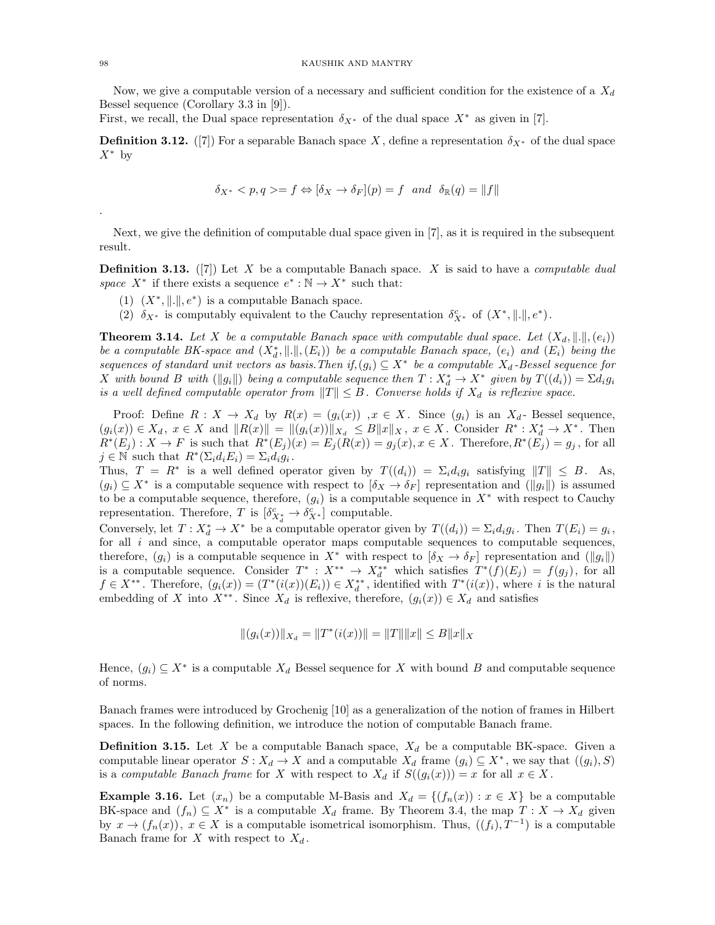Now, we give a computable version of a necessary and sufficient condition for the existence of a  $X_d$ Bessel sequence (Corollary 3.3 in [9]).

First, we recall, the Dual space representation  $\delta_{X^*}$  of the dual space  $X^*$  as given in [7].

**Definition 3.12.** ([7]) For a separable Banach space X, define a representation  $\delta_{X^*}$  of the dual space  $X^*$  by

$$
\delta_{X^*} < p, q \geq f \Leftrightarrow [\delta_X \to \delta_F](p) = f \quad \text{and} \quad \delta_{\mathbb{R}}(q) = \|f\|
$$

Next, we give the definition of computable dual space given in [7], as it is required in the subsequent result.

**Definition 3.13.** ([7]) Let X be a computable Banach space. X is said to have a *computable dual* space  $X^*$  if there exists a sequence  $e^*: \mathbb{N} \to X^*$  such that:

- (1)  $(X^*, \| \| \|, e^*)$  is a computable Banach space.
- (2)  $\delta_{X^*}$  is computably equivalent to the Cauchy representation  $\delta_{X^*}^c$  of  $(X^*, \|.\|, e^*)$ .

**Theorem 3.14.** Let X be a computable Banach space with computable dual space. Let  $(X_d, \|\cdot\|, (e_i))$ be a computable BK-space and  $(X_d^*, \| \|, (E_i))$  be a computable Banach space,  $(e_i)$  and  $(E_i)$  being the sequences of standard unit vectors as basis. Then if,  $(g_i) \subseteq X^*$  be a computable  $X_d$ -Bessel sequence for X with bound B with  $(\|g_i\|)$  being a computable sequence then  $T: X_d^* \to X^*$  given by  $T((d_i)) = \Sigma d_i g_i$ is a well defined computable operator from  $||T|| \leq B$ . Converse holds if  $X_d$  is reflexive space.

Proof: Define  $R: X \to X_d$  by  $R(x) = (g_i(x))$ ,  $x \in X$ . Since  $(g_i)$  is an  $X_d$ - Bessel sequence,  $(g_i(x)) \in X_d$ ,  $x \in X$  and  $||R(x)|| = ||(g_i(x))||_{X_d} \leq B||x||_X$ ,  $x \in X$ . Consider  $R^* : X_d^* \to X^*$ . Then  $R^*(E_j) : X \to F$  is such that  $R^*(E_j)(x) = E_j(R(x)) = g_j(x), x \in X$ . Therefore,  $R^*(E_j) = g_j$ , for all  $j \in \mathbb{N}$  such that  $R^*(\Sigma_i d_i E_i) = \Sigma_i d_i g_i$ .

Thus,  $T = R^*$  is a well defined operator given by  $T((d_i)) = \sum_i d_i g_i$  satisfying  $||T|| \leq B$ . As,  $(g_i) \subseteq X^*$  is a computable sequence with respect to  $[\delta_X \to \delta_F]$  representation and  $(\|g_i\|)$  is assumed to be a computable sequence, therefore,  $(g_i)$  is a computable sequence in  $X^*$  with respect to Cauchy representation. Therefore, T is  $\left[\delta_{X^*_A}^c \to \delta_{X^*}^c\right]$  computable.

Conversely, let  $T: X_d^* \to X^*$  be a computable operator given by  $T((d_i)) = \sum_i d_i g_i$ . Then  $T(E_i) = g_i$ , for all  $i$  and since, a computable operator maps computable sequences to computable sequences, therefore,  $(g_i)$  is a computable sequence in  $X^*$  with respect to  $[\delta_X \to \delta_F]$  representation and  $(\Vert g_i \Vert)$ is a computable sequence. Consider  $T^* : X^{**} \to X_d^{**}$  which satisfies  $T^*(f)(E_j) = f(g_j)$ , for all  $f \in X^{**}$ . Therefore,  $(g_i(x)) = (T^*(i(x))(E_i)) \in X_d^{**}$ , identified with  $T^*(i(x))$ , where i is the natural embedding of X into  $X^{**}$ . Since  $X_d$  is reflexive, therefore,  $(g_i(x)) \in X_d$  and satisfies

$$
||(g_i(x))||_{X_d} = ||T^*(i(x))|| = ||T|| ||x|| \le B||x||_X
$$

Hence,  $(g_i) \subseteq X^*$  is a computable  $X_d$  Bessel sequence for X with bound B and computable sequence of norms.

Banach frames were introduced by Grochenig [10] as a generalization of the notion of frames in Hilbert spaces. In the following definition, we introduce the notion of computable Banach frame.

**Definition 3.15.** Let X be a computable Banach space,  $X_d$  be a computable BK-space. Given a computable linear operator  $S: X_d \to X$  and a computable  $X_d$  frame  $(g_i) \subseteq X^*$ , we say that  $((g_i), S)$ is a computable Banach frame for X with respect to  $X_d$  if  $S((g_i(x))) = x$  for all  $x \in X$ .

**Example 3.16.** Let  $(x_n)$  be a computable M-Basis and  $X_d = \{(f_n(x)) : x \in X\}$  be a computable BK-space and  $(f_n) \subseteq X^*$  is a computable  $X_d$  frame. By Theorem 3.4, the map  $T: X \to X_d$  given by  $x \to (f_n(x))$ ,  $x \in X$  is a computable isometrical isomorphism. Thus,  $((f_i), T^{-1})$  is a computable Banach frame for X with respect to  $X_d$ .

.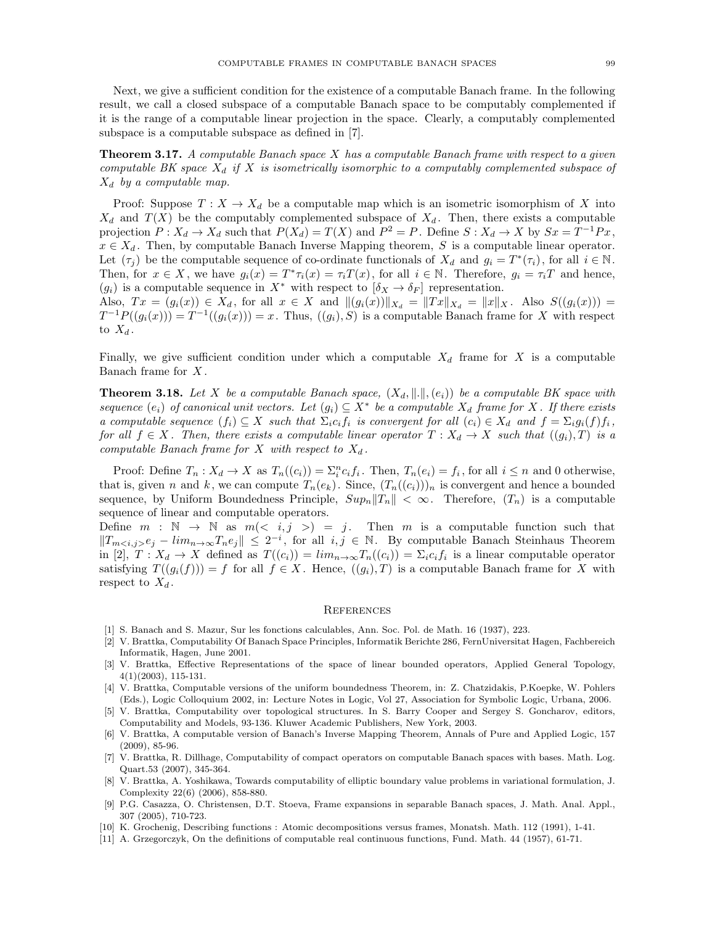Next, we give a sufficient condition for the existence of a computable Banach frame. In the following result, we call a closed subspace of a computable Banach space to be computably complemented if it is the range of a computable linear projection in the space. Clearly, a computably complemented subspace is a computable subspace as defined in [7].

**Theorem 3.17.** A computable Banach space  $X$  has a computable Banach frame with respect to a given computable BK space  $X_d$  if X is isometrically isomorphic to a computably complemented subspace of  $X_d$  by a computable map.

Proof: Suppose  $T: X \to X_d$  be a computable map which is an isometric isomorphism of X into  $X_d$  and  $T(X)$  be the computably complemented subspace of  $X_d$ . Then, there exists a computable projection  $P: X_d \to X_d$  such that  $P(X_d) = T(X)$  and  $P^2 = P$ . Define  $S: X_d \to X$  by  $S_x = T^{-1}Px$ ,  $x \in X_d$ . Then, by computable Banach Inverse Mapping theorem, S is a computable linear operator. Let  $(\tau_j)$  be the computable sequence of co-ordinate functionals of  $X_d$  and  $g_i = T^*(\tau_i)$ , for all  $i \in \mathbb{N}$ . Then, for  $x \in X$ , we have  $g_i(x) = T^* \tau_i(x) = \tau_i T(x)$ , for all  $i \in \mathbb{N}$ . Therefore,  $g_i = \tau_i T$  and hence,  $(g_i)$  is a computable sequence in  $X^*$  with respect to  $[\delta_X \to \delta_F]$  representation. Also,  $Tx = (g_i(x)) \in X_d$ , for all  $x \in X$  and  $||(g_i(x))||_{X_d} = ||Tx||_{X_d} = ||x||_X$ . Also  $S((g_i(x))) =$  $T^{-1}P((g_i(x))) = T^{-1}((g_i(x))) = x$ . Thus,  $((g_i), S)$  is a computable Banach frame for X with respect

Finally, we give sufficient condition under which a computable  $X_d$  frame for X is a computable Banach frame for  $X$ .

to  $X_d$ .

**Theorem 3.18.** Let X be a computable Banach space,  $(X_d, \|.\|, (e_i))$  be a computable BK space with sequence  $(e_i)$  of canonical unit vectors. Let  $(g_i) \subseteq X^*$  be a computable  $X_d$  frame for X. If there exists a computable sequence  $(f_i) \subseteq X$  such that  $\Sigma_i c_i f_i$  is convergent for all  $(c_i) \in X_d$  and  $f = \Sigma_i g_i(f) f_i$ , for all  $f \in X$ . Then, there exists a computable linear operator  $T : X_d \to X$  such that  $((g_i), T)$  is a computable Banach frame for  $X$  with respect to  $X_d$ .

Proof: Define  $T_n: X_d \to X$  as  $T_n((c_i)) = \sum_i^n c_i f_i$ . Then,  $T_n(e_i) = f_i$ , for all  $i \leq n$  and 0 otherwise, that is, given n and k, we can compute  $T_n(e_k)$ . Since,  $(T_n((c_i)))_n$  is convergent and hence a bounded sequence, by Uniform Boundedness Principle,  $Sup_n||T_n|| < \infty$ . Therefore,  $(T_n)$  is a computable sequence of linear and computable operators.

Define  $m : \mathbb{N} \to \mathbb{N}$  as  $m(< i, j >) = j$ . Then m is a computable function such that  $||T_{mij} - lim_{n\to\infty}T_{n}e_j|| \leq 2^{-i}$ , for all  $i, j \in \mathbb{N}$ . By computable Banach Steinhaus Theorem in [2],  $T: X_d \to X$  defined as  $T((c_i)) = \lim_{n \to \infty} T_n((c_i)) = \sum_i c_i f_i$  is a linear computable operator satisfying  $T((g_i(f))) = f$  for all  $f \in X$ . Hence,  $((g_i), T)$  is a computable Banach frame for X with respect to  $X_d$ .

#### **REFERENCES**

- [1] S. Banach and S. Mazur, Sur les fonctions calculables, Ann. Soc. Pol. de Math. 16 (1937), 223.
- [2] V. Brattka, Computability Of Banach Space Principles, Informatik Berichte 286, FernUniversitat Hagen, Fachbereich Informatik, Hagen, June 2001.
- [3] V. Brattka, Effective Representations of the space of linear bounded operators, Applied General Topology, 4(1)(2003), 115-131.
- [4] V. Brattka, Computable versions of the uniform boundedness Theorem, in: Z. Chatzidakis, P.Koepke, W. Pohlers (Eds.), Logic Colloquium 2002, in: Lecture Notes in Logic, Vol 27, Association for Symbolic Logic, Urbana, 2006.
- [5] V. Brattka, Computability over topological structures. In S. Barry Cooper and Sergey S. Goncharov, editors, Computability and Models, 93-136. Kluwer Academic Publishers, New York, 2003.
- [6] V. Brattka, A computable version of Banach's Inverse Mapping Theorem, Annals of Pure and Applied Logic, 157 (2009), 85-96.
- [7] V. Brattka, R. Dillhage, Computability of compact operators on computable Banach spaces with bases. Math. Log. Quart.53 (2007), 345-364.
- [8] V. Brattka, A. Yoshikawa, Towards computability of elliptic boundary value problems in variational formulation, J. Complexity 22(6) (2006), 858-880.
- [9] P.G. Casazza, O. Christensen, D.T. Stoeva, Frame expansions in separable Banach spaces, J. Math. Anal. Appl., 307 (2005), 710-723.
- [10] K. Grochenig, Describing functions : Atomic decompositions versus frames, Monatsh. Math. 112 (1991), 1-41.
- [11] A. Grzegorczyk, On the definitions of computable real continuous functions, Fund. Math. 44 (1957), 61-71.